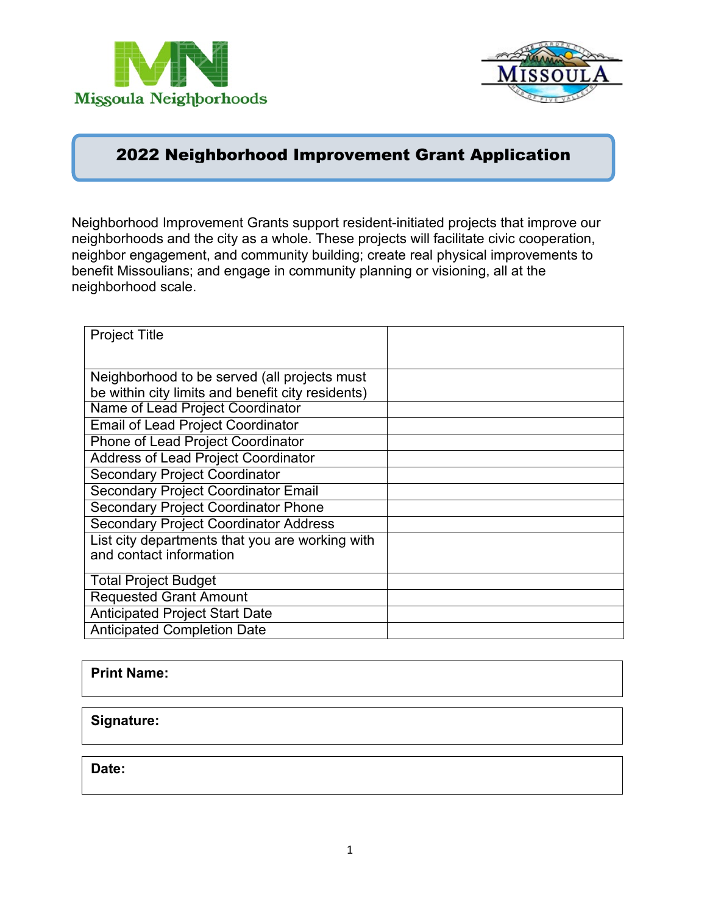



# 2022 Neighborhood Improvement Grant Application

Neighborhood Improvement Grants support resident-initiated projects that improve our neighborhoods and the city as a whole. These projects will facilitate civic cooperation, neighbor engagement, and community building; create real physical improvements to benefit Missoulians; and engage in community planning or visioning, all at the neighborhood scale.

| <b>Project Title</b>                              |  |
|---------------------------------------------------|--|
|                                                   |  |
| Neighborhood to be served (all projects must      |  |
| be within city limits and benefit city residents) |  |
| Name of Lead Project Coordinator                  |  |
| <b>Email of Lead Project Coordinator</b>          |  |
| Phone of Lead Project Coordinator                 |  |
| <b>Address of Lead Project Coordinator</b>        |  |
| <b>Secondary Project Coordinator</b>              |  |
| <b>Secondary Project Coordinator Email</b>        |  |
| <b>Secondary Project Coordinator Phone</b>        |  |
| <b>Secondary Project Coordinator Address</b>      |  |
| List city departments that you are working with   |  |
| and contact information                           |  |
| <b>Total Project Budget</b>                       |  |
| <b>Requested Grant Amount</b>                     |  |
| <b>Anticipated Project Start Date</b>             |  |
| <b>Anticipated Completion Date</b>                |  |

#### **Print Name:**

#### **Signature:**

**Date:**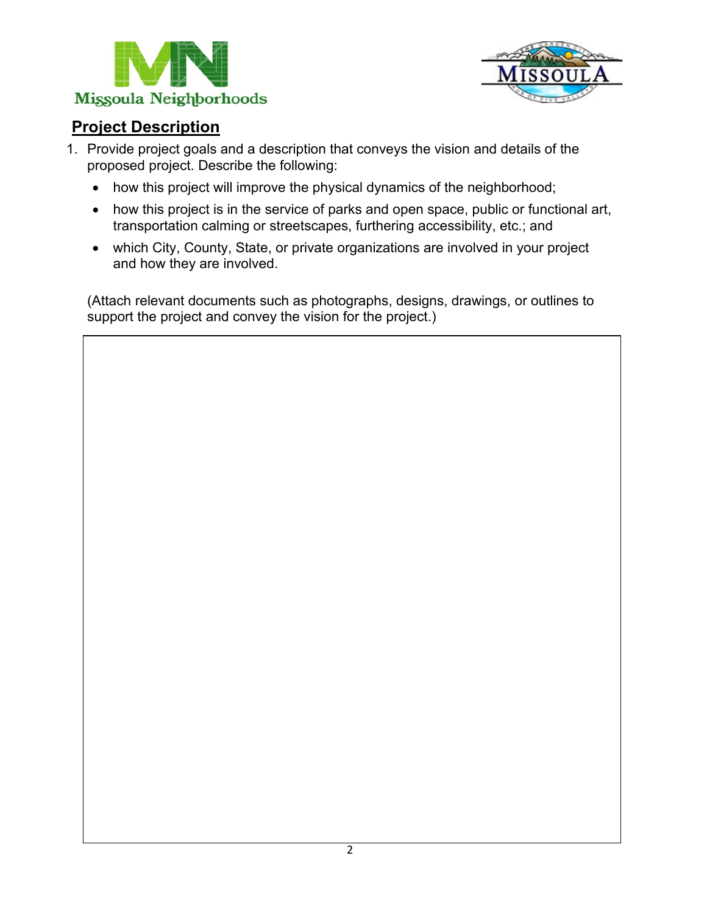



# **Project Description**

- 1. Provide project goals and a description that conveys the vision and details of the proposed project. Describe the following:
	- how this project will improve the physical dynamics of the neighborhood;
	- how this project is in the service of parks and open space, public or functional art, transportation calming or streetscapes, furthering accessibility, etc.; and
	- which City, County, State, or private organizations are involved in your project and how they are involved.

(Attach relevant documents such as photographs, designs, drawings, or outlines to support the project and convey the vision for the project.)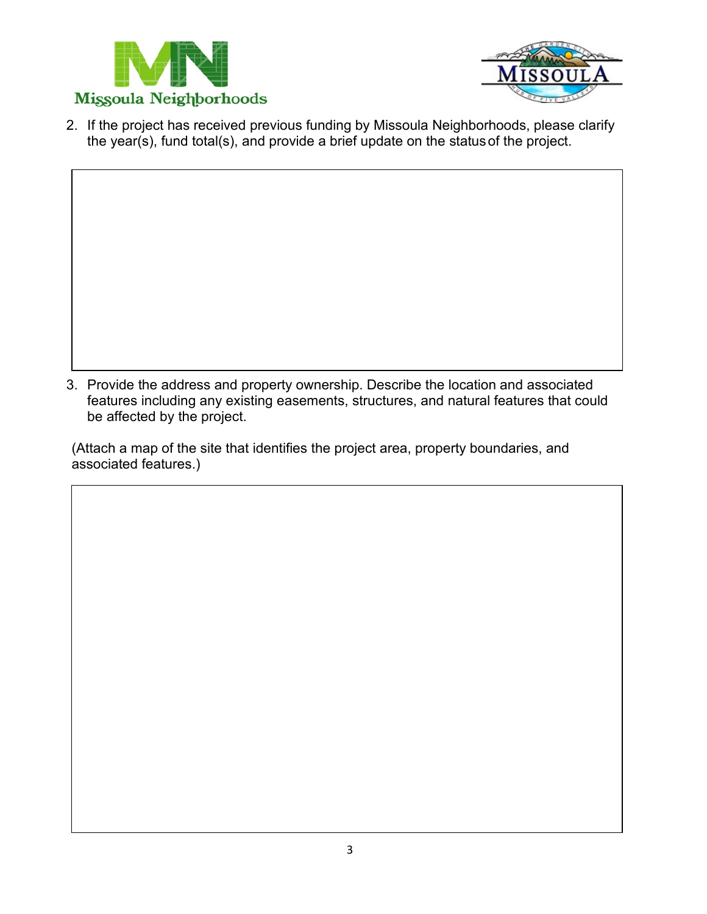



2. If the project has received previous funding by Missoula Neighborhoods, please clarify the year(s), fund total(s), and provide a brief update on the statusof the project.

3. Provide the address and property ownership. Describe the location and associated features including any existing easements, structures, and natural features that could be affected by the project.

(Attach a map of the site that identifies the project area, property boundaries, and associated features.)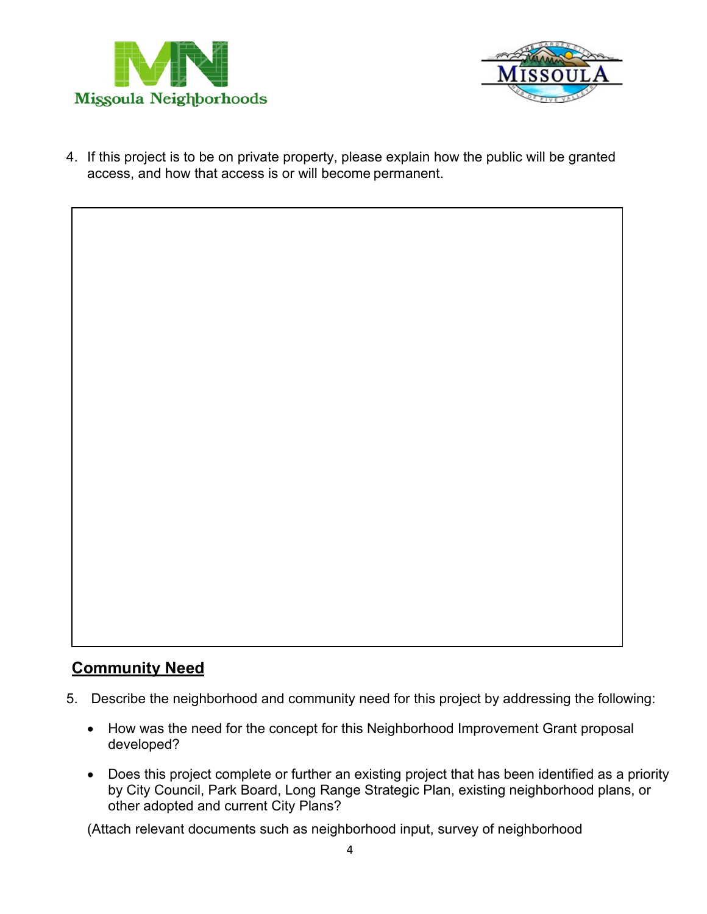



4. If this project is to be on private property, please explain how the public will be granted access, and how that access is or will become permanent.

### **Community Need**

- 5. Describe the neighborhood and community need for this project by addressing the following:
	- How was the need for the concept for this Neighborhood Improvement Grant proposal developed?
	- Does this project complete or further an existing project that has been identified as a priority by City Council, Park Board, Long Range Strategic Plan, existing neighborhood plans, or other adopted and current City Plans?

(Attach relevant documents such as neighborhood input, survey of neighborhood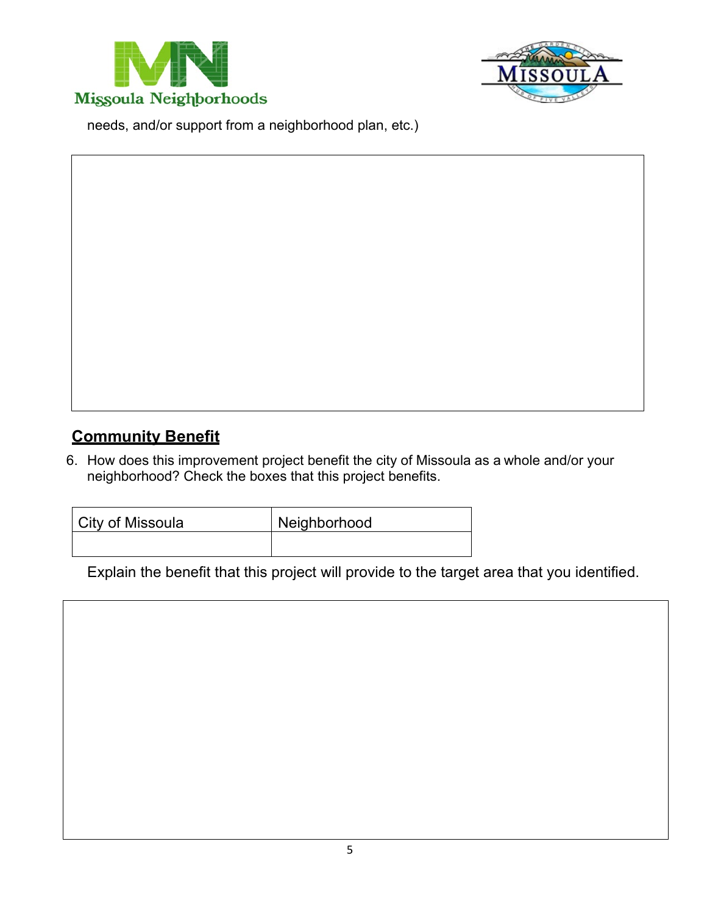



needs, and/or support from a neighborhood plan, etc.)

# **Community Benefit**

6. How does this improvement project benefit the city of Missoula as a whole and/or your neighborhood? Check the boxes that this project benefits.

| City of Missoula | Neighborhood |
|------------------|--------------|
|                  |              |

Explain the benefit that this project will provide to the target area that you identified.

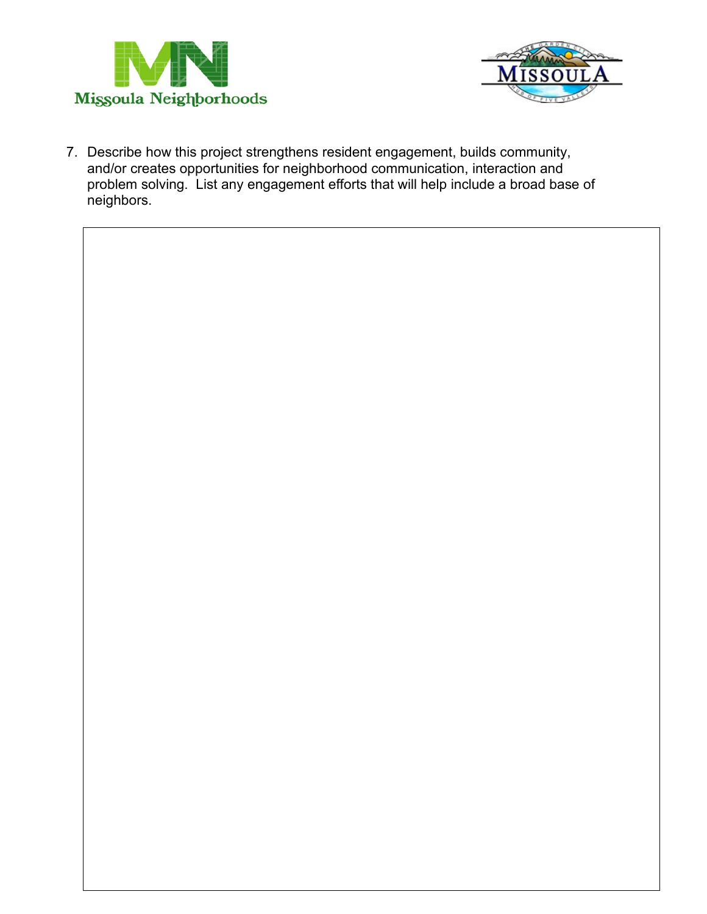



7. Describe how this project strengthens resident engagement, builds community, and/or creates opportunities for neighborhood communication, interaction and problem solving. List any engagement efforts that will help include a broad base of neighbors.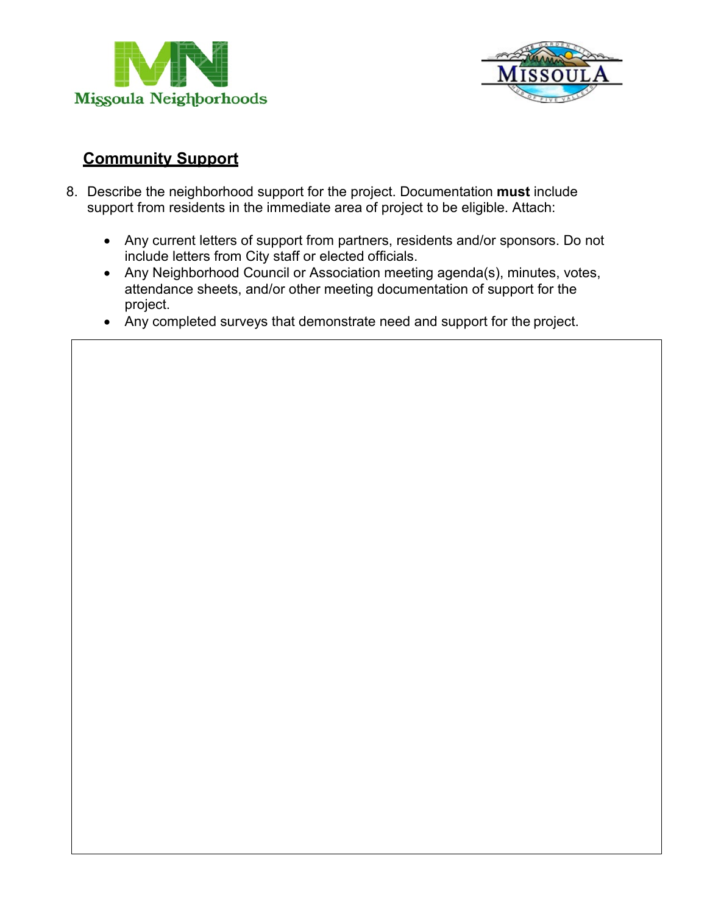



### **Community Support**

- 8. Describe the neighborhood support for the project. Documentation **must** include support from residents in the immediate area of project to be eligible. Attach:
	- Any current letters of support from partners, residents and/or sponsors. Do not include letters from City staff or elected officials.
	- Any Neighborhood Council or Association meeting agenda(s), minutes, votes, attendance sheets, and/or other meeting documentation of support for the project.
	- Any completed surveys that demonstrate need and support for the project.

7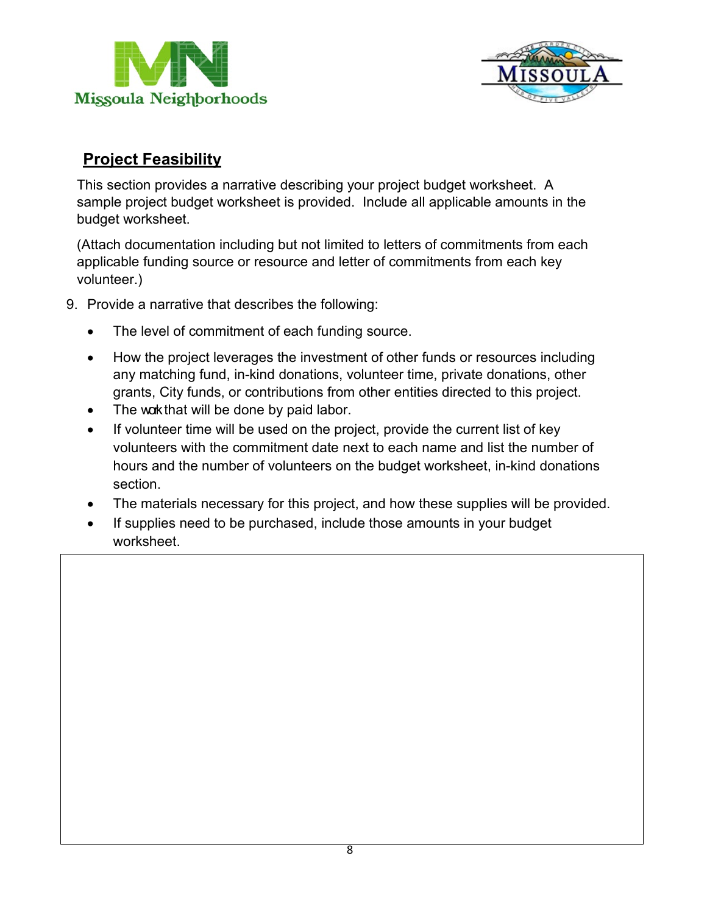



# **Project Feasibility**

This section provides a narrative describing your project budget worksheet. A sample project budget worksheet is provided. Include all applicable amounts in the budget worksheet.

(Attach documentation including but not limited to letters of commitments from each applicable funding source or resource and letter of commitments from each key volunteer.)

- 9. Provide a narrative that describes the following:
	- The level of commitment of each funding source.
	- How the project leverages the investment of other funds or resources including any matching fund, in-kind donations, volunteer time, private donations, other grants, City funds, or contributions from other entities directed to this project.
	- $\bullet$  The work that will be done by paid labor.
	- If volunteer time will be used on the project, provide the current list of key volunteers with the commitment date next to each name and list the number of hours and the number of volunteers on the budget worksheet, in-kind donations section.
	- The materials necessary for this project, and how these supplies will be provided.
	- If supplies need to be purchased, include those amounts in your budget worksheet.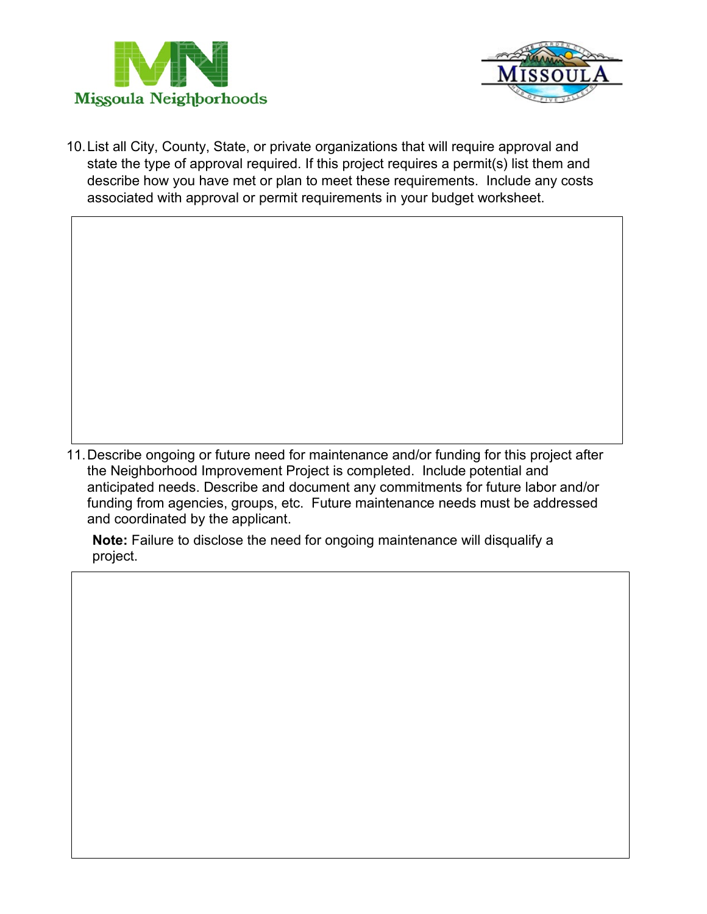



10.List all City, County, State, or private organizations that will require approval and state the type of approval required. If this project requires a permit(s) list them and describe how you have met or plan to meet these requirements. Include any costs associated with approval or permit requirements in your budget worksheet.

11.Describe ongoing or future need for maintenance and/or funding for this project after the Neighborhood Improvement Project is completed. Include potential and anticipated needs. Describe and document any commitments for future labor and/or funding from agencies, groups, etc. Future maintenance needs must be addressed and coordinated by the applicant.

**Note:** Failure to disclose the need for ongoing maintenance will disqualify a project.